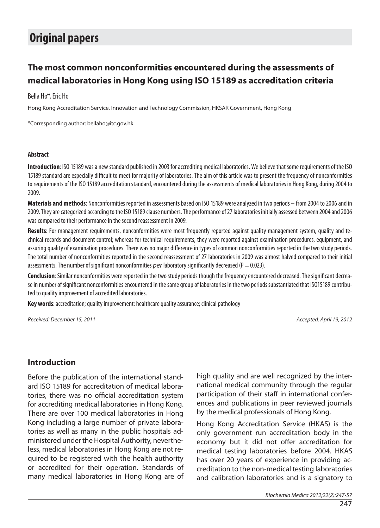# **Original papers**

## **The most common nonconformities encountered during the assessments of medical laboratories in Hong Kong using ISO 15189 as accreditation criteria**

#### Bella Ho\*, Eric Ho

Hong Kong Accreditation Service, Innovation and Technology Commission, HKSAR Government, Hong Kong

\*Corresponding author: bellaho@itc.gov.hk

#### **Abstract**

**Introduction**: ISO 15189 was a new standard published in 2003 for accrediting medical laboratories. We believe that some requirements of the ISO 15189 standard are especially difficult to meet for majority of laboratories. The aim of this article was to present the frequency of nonconformities to requirements of the ISO 15189 accreditation standard, encountered during the assessments of medical laboratories in Hong Kong, during 2004 to 2009.

**Materials and methods**: Nonconformities reported in assessments based on ISO 15189 were analyzed in two periods – from 2004 to 2006 and in 2009. They are categorized according to the ISO 15189 clause numbers. The performance of 27 laboratories initially assessed between 2004 and 2006 was compared to their performance in the second reassessment in 2009.

**Results**: For management requirements, nonconformities were most frequently reported against quality management system, quality and technical records and document control; whereas for technical requirements, they were reported against examination procedures, equipment, and assuring quality of examination procedures. There was no major difference in types of common nonconformities reported in the two study periods. The total number of nonconformities reported in the second reassessment of 27 laboratories in 2009 was almost halved compared to their initial assessments. The number of significant nonconformities per laboratory significantly decreased ( $P = 0.023$ ).

**Conclusion**: Similar nonconformities were reported in the two study periods though the frequency encountered decreased. The significant decrease in number of significant nonconformities encountered in the same group of laboratories in the two periods substantiated that ISO15189 contributed to quality improvement of accredited laboratories.

**Key words**: accreditation; quality improvement; healthcare quality assurance; clinical pathology

Received: December 15, 2011 Accepted: April 19, 2012

## **Introduction**

Before the publication of the international standard ISO 15189 for accreditation of medical laboratories, there was no official accreditation system for accrediting medical laboratories in Hong Kong. There are over 100 medical laboratories in Hong Kong including a large number of private laboratories as well as many in the public hospitals administered under the Hospital Authority, nevertheless, medical laboratories in Hong Kong are not required to be registered with the health authority or accredited for their operation. Standards of many medical laboratories in Hong Kong are of high quality and are well recognized by the international medical community through the regular participation of their staff in international conferences and publications in peer reviewed journals by the medical professionals of Hong Kong.

Hong Kong Accreditation Service (HKAS) is the only government run accreditation body in the economy but it did not offer accreditation for medical testing laboratories before 2004. HKAS has over 20 years of experience in providing accreditation to the non-medical testing laboratories and calibration laboratories and is a signatory to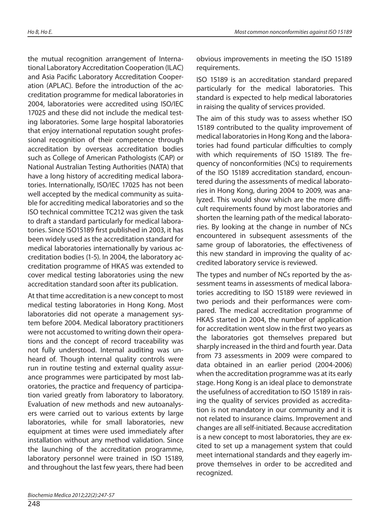the mutual recognition arrangement of International Laboratory Accreditation Cooperation (ILAC) and Asia Pacific Laboratory Accreditation Cooperation (APLAC). Before the introduction of the accreditation programme for medical laboratories in 2004, laboratories were accredited using ISO/IEC 17025 and these did not include the medical testing laboratories. Some large hospital laboratories that enjoy international reputation sought professional recognition of their competence through accreditation by overseas accreditation bodies such as College of American Pathologists (CAP) or National Australian Testing Authorities (NATA) that have a long history of accrediting medical laboratories. Internationally, ISO/IEC 17025 has not been well accepted by the medical community as suitable for accrediting medical laboratories and so the ISO technical committee TC212 was given the task to draft a standard particularly for medical laboratories. Since ISO15189 first published in 2003, it has been widely used as the accreditation standard for medical laboratories internationally by various accreditation bodies (1-5). In 2004, the laboratory accreditation programme of HKAS was extended to cover medical testing laboratories using the new accreditation standard soon after its publication.

At that time accreditation is a new concept to most medical testing laboratories in Hong Kong. Most laboratories did not operate a management system before 2004. Medical laboratory practitioners were not accustomed to writing down their operations and the concept of record traceability was not fully understood. Internal auditing was unheard of. Though internal quality controls were run in routine testing and external quality assurance programmes were participated by most laboratories, the practice and frequency of participation varied greatly from laboratory to laboratory. Evaluation of new methods and new autoanalysers were carried out to various extents by large laboratories, while for small laboratories, new equipment at times were used immediately after installation without any method validation. Since the launching of the accreditation programme, laboratory personnel were trained in ISO 15189, and throughout the last few years, there had been

obvious improvements in meeting the ISO 15189 requirements.

ISO 15189 is an accreditation standard prepared particularly for the medical laboratories. This standard is expected to help medical laboratories in raising the quality of services provided.

The aim of this study was to assess whether ISO 15189 contributed to the quality improvement of medical laboratories in Hong Kong and the laboratories had found particular difficulties to comply with which requirements of ISO 15189. The frequency of nonconformities (NCs) to requirements of the ISO 15189 accreditation standard, encountered during the assessments of medical laboratories in Hong Kong, during 2004 to 2009, was analyzed. This would show which are the more difficult requirements found by most laboratories and shorten the learning path of the medical laboratories. By looking at the change in number of NCs encountered in subsequent assessments of the same group of laboratories, the effectiveness of this new standard in improving the quality of accredited laboratory service is reviewed.

The types and number of NCs reported by the assessment teams in assessments of medical laboratories accrediting to ISO 15189 were reviewed in two periods and their performances were compared. The medical accreditation programme of HKAS started in 2004, the number of application for accreditation went slow in the first two years as the laboratories got themselves prepared but sharply increased in the third and fourth year. Data from 73 assessments in 2009 were compared to data obtained in an earlier period (2004-2006) when the accreditation programme was at its early stage. Hong Kong is an ideal place to demonstrate the usefulness of accreditation to ISO 15189 in raising the quality of services provided as accreditation is not mandatory in our community and it is not related to insurance claims. Improvement and changes are all self-initiated. Because accreditation is a new concept to most laboratories, they are excited to set up a management system that could meet international standards and they eagerly improve themselves in order to be accredited and recognized.

Biochemia Medica 2012;22(2):247-57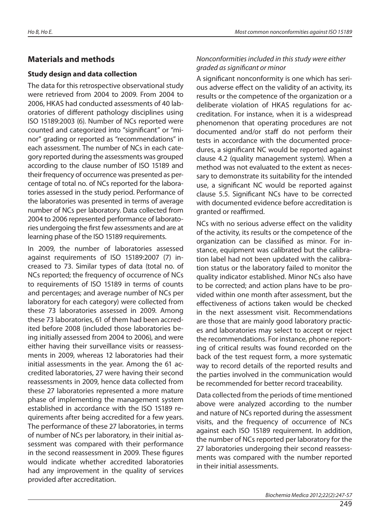## **Materials and methods**

### **Study design and data collection**

The data for this retrospective observational study were retrieved from 2004 to 2009. From 2004 to 2006, HKAS had conducted assessments of 40 laboratories of different pathology disciplines using ISO 15189:2003 (6). Number of NCs reported were counted and categorized into "significant" or "minor" grading or reported as "recommendations" in each assessment. The number of NCs in each category reported during the assessments was grouped according to the clause number of ISO 15189 and their frequency of occurrence was presented as percentage of total no. of NCs reported for the laboratories assessed in the study period. Performance of the laboratories was presented in terms of average number of NCs per laboratory. Data collected from 2004 to 2006 represented performance of laboratories undergoing the first few assessments and are at learning phase of the ISO 15189 requirements.

In 2009, the number of laboratories assessed against requirements of ISO 15189:2007 (7) increased to 73. Similar types of data (total no. of NCs reported; the frequency of occurrence of NCs to requirements of ISO 15189 in terms of counts and percentages; and average number of NCs per laboratory for each category) were collected from these 73 laboratories assessed in 2009. Among these 73 laboratories, 61 of them had been accredited before 2008 (included those laboratories being initially assessed from 2004 to 2006), and were either having their surveillance visits or reassessments in 2009, whereas 12 laboratories had their initial assessments in the year. Among the 61 accredited laboratories, 27 were having their second reassessments in 2009, hence data collected from these 27 laboratories represented a more mature phase of implementing the management system established in accordance with the ISO 15189 requirements after being accredited for a few years. The performance of these 27 laboratories, in terms of number of NCs per laboratory, in their initial assessment was compared with their performance in the second reassessment in 2009. These figures would indicate whether accredited laboratories had any improvement in the quality of services provided after accreditation.

## Nonconformities included in this study were either graded as significant or minor

A significant nonconformity is one which has serious adverse effect on the validity of an activity, its results or the competence of the organization or a deliberate violation of HKAS regulations for accreditation. For instance, when it is a widespread phenomenon that operating procedures are not documented and/or staff do not perform their tests in accordance with the documented procedures, a significant NC would be reported against clause 4.2 (quality management system). When a method was not evaluated to the extent as necessary to demonstrate its suitability for the intended use, a significant NC would be reported against clause 5.5. Significant NCs have to be corrected with documented evidence before accreditation is granted or reaffirmed.

NCs with no serious adverse effect on the validity of the activity, its results or the competence of the organization can be classified as minor. For instance, equipment was calibrated but the calibration label had not been updated with the calibration status or the laboratory failed to monitor the quality indicator established. Minor NCs also have to be corrected; and action plans have to be provided within one month after assessment, but the effectiveness of actions taken would be checked in the next assessment visit. Recommendations are those that are mainly good laboratory practices and laboratories may select to accept or reject the recommendations. For instance, phone reporting of critical results was found recorded on the back of the test request form, a more systematic way to record details of the reported results and the parties involved in the communication would be recommended for better record traceability.

Data collected from the periods of time mentioned above were analyzed according to the number and nature of NCs reported during the assessment visits, and the frequency of occurrence of NCs against each ISO 15189 requirement. In addition, the number of NCs reported per laboratory for the 27 laboratories undergoing their second reassessments was compared with the number reported in their initial assessments.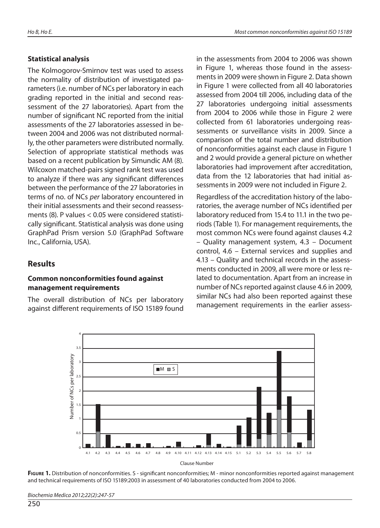#### **Statistical analysis**

The Kolmogorov-Smirnov test was used to assess the normality of distribution of investigated parameters (i.e. number of NCs per laboratory in each grading reported in the initial and second reassessment of the 27 laboratories). Apart from the number of significant NC reported from the initial assessments of the 27 laboratories assessed in between 2004 and 2006 was not distributed normally, the other parameters were distributed normally. Selection of appropriate statistical methods was based on a recent publication by Simundic AM (8). Wilcoxon matched-pairs signed rank test was used to analyze if there was any significant differences between the performance of the 27 laboratories in terms of no. of NCs per laboratory encountered in their initial assessments and their second reassessments (8). P values < 0.05 were considered statistically significant. Statistical analysis was done using GraphPad Prism version 5.0 (GraphPad Software Inc., California, USA).

## **Results**

#### **Common nonconformities found against management requirements**

The overall distribution of NCs per laboratory against different requirements of ISO 15189 found in the assessments from 2004 to 2006 was shown in Figure 1, whereas those found in the assessments in 2009 were shown in Figure 2. Data shown in Figure 1 were collected from all 40 laboratories assessed from 2004 till 2006, including data of the 27 laboratories undergoing initial assessments from 2004 to 2006 while those in Figure 2 were collected from 61 laboratories undergoing reassessments or surveillance visits in 2009. Since a comparison of the total number and distribution of nonconformities against each clause in Figure 1 and 2 would provide a general picture on whether laboratories had improvement after accreditation, data from the 12 laboratories that had initial assessments in 2009 were not included in Figure 2.

Regardless of the accreditation history of the laboratories, the average number of NCs identified per laboratory reduced from 15.4 to 11.1 in the two periods (Table 1). For management requirements, the most common NCs were found against clauses 4.2 – Quality management system, 4.3 – Document control, 4.6 – External services and supplies and 4.13 – Quality and technical records in the assessments conducted in 2009, all were more or less related to documentation. Apart from an increase in number of NCs reported against clause 4.6 in 2009, similar NCs had also been reported against these management requirements in the earlier assess-



**FIGURE 1.** Distribution of nonconformities. S - significant nonconformities; M - minor nonconformities reported against management and technical requirements of ISO 15189:2003 in assessment of 40 laboratories conducted from 2004 to 2006.

Biochemia Medica 2012;22(2):247-57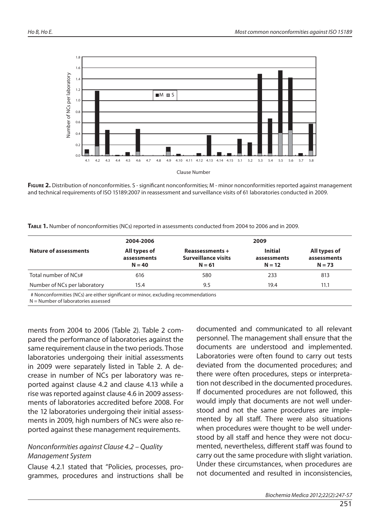

FIGURE 2. Distribution of nonconformities. S - significant nonconformities; M - minor nonconformities reported against management and technical requirements of ISO 15189:2007 in reassessment and surveillance visits of 61 laboratories conducted in 2009.

**TABLE 1.** Number of nonconformities (NCs) reported in assessments conducted from 2004 to 2006 and in 2009.

| <b>Nature of assessments</b> | 2004-2006                               | 2009                                                      |                                           |                                         |  |  |
|------------------------------|-----------------------------------------|-----------------------------------------------------------|-------------------------------------------|-----------------------------------------|--|--|
|                              | All types of<br>assessments<br>$N = 40$ | Reassessments +<br><b>Surveillance visits</b><br>$N = 61$ | <b>Initial</b><br>assessments<br>$N = 12$ | All types of<br>assessments<br>$N = 73$ |  |  |
| Total number of NCs#         | 616                                     | 580                                                       | 233                                       | 813                                     |  |  |
| Number of NCs per laboratory | 15.4                                    | 9.5                                                       | 19.4                                      | 11.1                                    |  |  |

# Nonconformities (NCs) are either significant or minor, excluding recommendations

N = Number of laboratories assessed

ments from 2004 to 2006 (Table 2). Table 2 compared the performance of laboratories against the same requirement clause in the two periods. Those laboratories undergoing their initial assessments in 2009 were separately listed in Table 2. A decrease in number of NCs per laboratory was reported against clause 4.2 and clause 4.13 while a rise was reported against clause 4.6 in 2009 assessments of laboratories accredited before 2008. For the 12 laboratories undergoing their initial assessments in 2009, high numbers of NCs were also reported against these management requirements.

#### Nonconformities against Clause 4.2 – Quality Management System

Clause 4.2.1 stated that "Policies, processes, programmes, procedures and instructions shall be documented and communicated to all relevant personnel. The management shall ensure that the documents are understood and implemented. Laboratories were often found to carry out tests deviated from the documented procedures; and there were often procedures, steps or interpretation not described in the documented procedures. If documented procedures are not followed, this would imply that documents are not well understood and not the same procedures are implemented by all staff. There were also situations when procedures were thought to be well understood by all staff and hence they were not documented, nevertheless, different staff was found to carry out the same procedure with slight variation. Under these circumstances, when procedures are not documented and resulted in inconsistencies,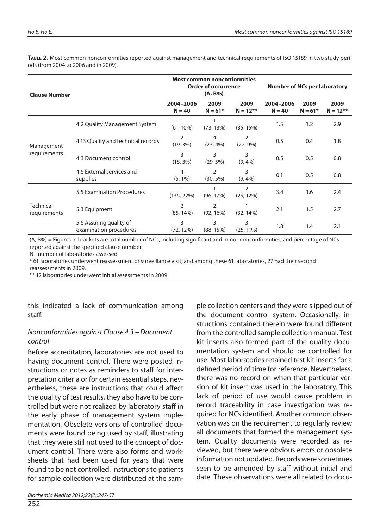**TABLE 2.** Most common nonconformities reported against management and technical requirements of ISO 15189 in two study periods (from 2004 to 2006 and in 2009).

| <b>Clause Number</b>             |                                                   | <b>Most common nonconformities</b><br><b>Order of occurrence</b><br>$(A, B\%)$ |                               |                     | <b>Number of NCs per laboratory</b> |                   |                     |
|----------------------------------|---------------------------------------------------|--------------------------------------------------------------------------------|-------------------------------|---------------------|-------------------------------------|-------------------|---------------------|
|                                  |                                                   | 2004-2006<br>$N = 40$                                                          | 2009<br>$N = 61*$             | 2009<br>$N = 12***$ | 2004-2006<br>$N = 40$               | 2009<br>$N = 61*$ | 2009<br>$N = 12***$ |
|                                  | 4.2 Quality Management System                     | $(61, 10\%)$                                                                   | (73, 13%)                     | (35, 15%)           | 1.5                                 | 1.2               | 2.9                 |
| Management<br>requirements       | 4.13 Quality and technical records                | 2<br>$(19, 3\%)$                                                               | 4<br>$(23, 4\%)$              | 2<br>$(22, 9\%)$    | 0.5                                 | 0.4               | 1.8                 |
|                                  | 4.3 Document control                              | 3<br>$(18, 3\%)$                                                               | 3<br>$(29, 5\%)$              | 3<br>$(9, 4\%)$     | 0.5                                 | 0.5               | 0.8                 |
|                                  | 4.6 External services and<br>supplies             | 4<br>$(5, 1\%)$                                                                | $\overline{2}$<br>$(30, 5\%)$ | 3<br>$(9, 4\%)$     | 0.1                                 | 0.5               | 0.8                 |
|                                  | 5.5 Examination Procedures                        | (136, 22%)                                                                     | $(96, 17\%)$                  | 2<br>$(29, 12\%)$   | 3.4                                 | 1.6               | 2.4                 |
| <b>Technical</b><br>requirements | 5.3 Equipment                                     | 2<br>$(85, 14\%)$                                                              | $\overline{2}$<br>(92, 16%)   | (32, 14%)           | 2.1                                 | 1.5               | 2.7                 |
|                                  | 5.6 Assuring quality of<br>examination procedures | 3<br>$(72, 12\%)$                                                              | 3<br>(88, 15%)                | 3<br>$(25, 11\%)$   | 1.8                                 | 1.4               | 2.1                 |

(A, B%) = Figures in brackets are total number of NCs, including significant and minor nonconformities; and percentage of NCs reported against the specified clause number.

N - number of laboratories assessed

\* 61 laboratories underwent reassessment or surveillance visit; and among these 61 laboratories, 27 had their second reassessments in 2009.

\*\* 12 laboratories underwent initial assessments in 2009

this indicated a lack of communication among staff.

### Nonconformities against Clause 4.3 – Document control

Before accreditation, laboratories are not used to having document control. There were posted instructions or notes as reminders to staff for interpretation criteria or for certain essential steps, nevertheless, these are instructions that could affect the quality of test results, they also have to be controlled but were not realized by laboratory staff in the early phase of management system implementation. Obsolete versions of controlled documents were found being used by staff, illustrating that they were still not used to the concept of document control. There were also forms and worksheets that had been used for years that were found to be not controlled. Instructions to patients for sample collection were distributed at the sample collection centers and they were slipped out of the document control system. Occasionally, instructions contained therein were found different from the controlled sample collection manual. Test kit inserts also formed part of the quality documentation system and should be controlled for use. Most laboratories retained test kit inserts for a defined period of time for reference. Nevertheless, there was no record on when that particular version of kit insert was used in the laboratory. This lack of period of use would cause problem in record traceability in case investigation was required for NCs identified. Another common observation was on the requirement to regularly review all documents that formed the management system. Quality documents were recorded as reviewed, but there were obvious errors or obsolete information not updated. Records were sometimes seen to be amended by staff without initial and date. These observations were all related to docu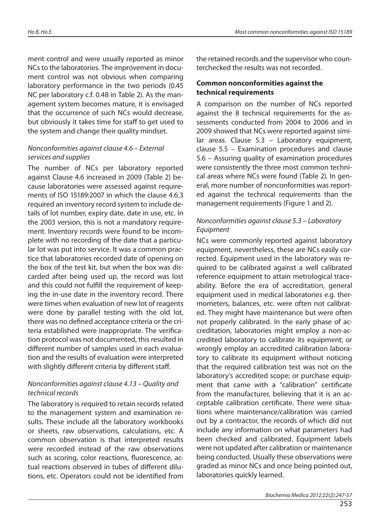ment control and were usually reported as minor NCs to the laboratories. The improvement in document control was not obvious when comparing laboratory performance in the two periods (0.45 NC per laboratory c.f. 0.48 in Table 2). As the management system becomes mature, it is envisaged that the occurrence of such NCs would decrease, but obviously it takes time for staff to get used to the system and change their quality mindset.

#### Nonconformities against clause 4.6 – External services and supplies

The number of NCs per laboratory reported against Clause 4.6 increased in 2009 (Table 2) because laboratories were assessed against requirements of ISO 15189:2007 in which the clause 4.6.3 required an inventory record system to include details of lot number, expiry date, date in use, etc. In the 2003 version, this is not a mandatory requirement. Inventory records were found to be incomplete with no recording of the date that a particular lot was put into service. It was a common practice that laboratories recorded date of opening on the box of the test kit, but when the box was discarded after being used up, the record was lost and this could not fulfill the requirement of keeping the in-use date in the inventory record. There were times when evaluation of new lot of reagents were done by parallel testing with the old lot, there was no defined acceptance criteria or the criteria established were inappropriate. The verification protocol was not documented, this resulted in different number of samples used in each evaluation and the results of evaluation were interpreted with slightly different criteria by different staff.

#### Nonconformities against clause 4.13 – Quality and technical records

The laboratory is required to retain records related to the management system and examination results. These include all the laboratory workbooks or sheets, raw observations, calculations, etc. A common observation is that interpreted results were recorded instead of the raw observations such as scoring, color reactions, fluorescence, actual reactions observed in tubes of different dilutions, etc. Operators could not be identified from

the retained records and the supervisor who counterchecked the results was not recorded.

#### **Common nonconformities against the technical requirements**

A comparison on the number of NCs reported against the 8 technical requirements for the assessments conducted from 2004 to 2006 and in 2009 showed that NCs were reported against similar areas. Clause 5.3 – Laboratory equipment, clause 5.5 – Examination procedures and clause 5.6 – Assuring quality of examination procedures were consistently the three most common technical areas where NCs were found (Table 2). In general, more number of nonconformities was reported against the technical requirements than the management requirements (Figure 1 and 2).

### Nonconformities against clause 5.3 – Laboratory Equipment

NCs were commonly reported against laboratory equipment, nevertheless, these are NCs easily corrected. Equipment used in the laboratory was required to be calibrated against a well calibrated reference equipment to attain metrological traceability. Before the era of accreditation, general equipment used in medical laboratories e.g. thermometers, balances, etc. were often not calibrated. They might have maintenance but were often not properly calibrated. In the early phase of accreditation, laboratories might employ a non-accredited laboratory to calibrate its equipment; or wrongly employ an accredited calibration laboratory to calibrate its equipment without noticing that the required calibration test was not on the laboratory's accredited scope; or purchase equipment that came with a "calibration" certificate from the manufacturer, believing that it is an acceptable calibration certificate. There were situations where maintenance/calibration was carried out by a contractor, the records of which did not include any information on what parameters had been checked and calibrated. Equipment labels were not updated after calibration or maintenance being conducted. Usually these observations were graded as minor NCs and once being pointed out, laboratories quickly learned.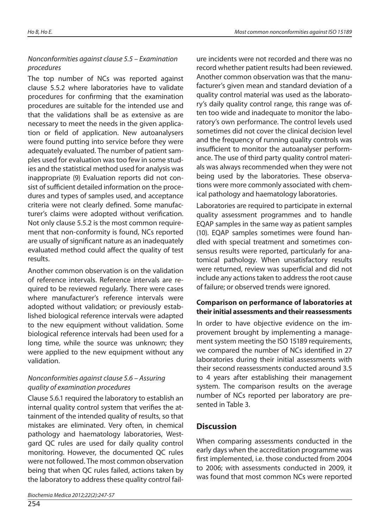## Nonconformities against clause 5.5 – Examination procedures

The top number of NCs was reported against clause 5.5.2 where laboratories have to validate procedures for confirming that the examination procedures are suitable for the intended use and that the validations shall be as extensive as are necessary to meet the needs in the given application or field of application. New autoanalysers were found putting into service before they were adequately evaluated. The number of patient samples used for evaluation was too few in some studies and the statistical method used for analysis was inappropriate (9) Evaluation reports did not consist of sufficient detailed information on the procedures and types of samples used, and acceptance criteria were not clearly defined. Some manufacturer's claims were adopted without verification. Not only clause 5.5.2 is the most common requirement that non-conformity is found, NCs reported are usually of significant nature as an inadequately evaluated method could affect the quality of test results.

Another common observation is on the validation of reference intervals. Reference intervals are required to be reviewed regularly. There were cases where manufacturer's reference intervals were adopted without validation; or previously established biological reference intervals were adapted to the new equipment without validation. Some biological reference intervals had been used for a long time, while the source was unknown; they were applied to the new equipment without any validation.

### Nonconformities against clause 5.6 – Assuring quality of examination procedures

Clause 5.6.1 required the laboratory to establish an internal quality control system that verifies the attainment of the intended quality of results, so that mistakes are eliminated. Very often, in chemical pathology and haematology laboratories, Westgard QC rules are used for daily quality control monitoring. However, the documented QC rules were not followed. The most common observation being that when QC rules failed, actions taken by the laboratory to address these quality control failure incidents were not recorded and there was no record whether patient results had been reviewed. Another common observation was that the manufacturer's given mean and standard deviation of a quality control material was used as the laboratory's daily quality control range, this range was often too wide and inadequate to monitor the laboratory's own performance. The control levels used sometimes did not cover the clinical decision level and the frequency of running quality controls was insufficient to monitor the autoanalyser performance. The use of third party quality control materials was always recommended when they were not being used by the laboratories. These observations were more commonly associated with chemical pathology and haematology laboratories.

Laboratories are required to participate in external quality assessment programmes and to handle EQAP samples in the same way as patient samples (10). EQAP samples sometimes were found handled with special treatment and sometimes consensus results were reported, particularly for anatomical pathology. When unsatisfactory results were returned, review was superficial and did not include any actions taken to address the root cause of failure; or observed trends were ignored.

#### **Comparison on performance of laboratories at their initial assessments and their reassessments**

In order to have objective evidence on the improvement brought by implementing a management system meeting the ISO 15189 requirements, we compared the number of NCs identified in 27 laboratories during their initial assessments with their second reassessments conducted around 3.5 to 4 years after establishing their management system. The comparison results on the average number of NCs reported per laboratory are presented in Table 3.

## **Discussion**

When comparing assessments conducted in the early days when the accreditation programme was first implemented, i.e. those conducted from 2004 to 2006; with assessments conducted in 2009, it was found that most common NCs were reported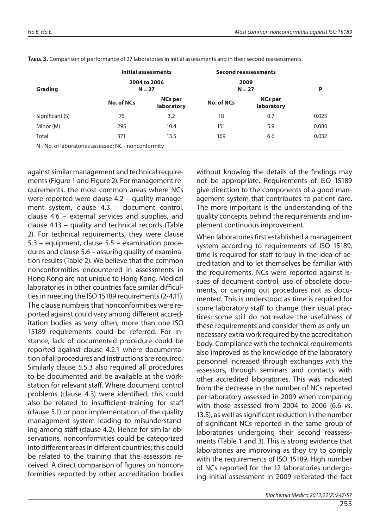|                 | Initial assessments |                              | <b>Second reassessments</b> |                              |       |  |
|-----------------|---------------------|------------------------------|-----------------------------|------------------------------|-------|--|
| Grading         |                     | 2004 to 2006<br>$N = 27$     |                             | 2009<br>$N = 27$             |       |  |
|                 | No. of NCs          | <b>NCs per</b><br>laboratory | No. of NCs                  | <b>NCs per</b><br>laboratory |       |  |
| Significant (S) | 76                  | 3.2                          | 18                          | 0.7                          | 0.023 |  |
| Minor (M)       | 295                 | 10.4                         | 151                         | 5.9                          | 0.080 |  |
| Total           | 371                 | 13.5                         | 169                         | 6.6                          | 0.032 |  |

**TABLE 3.** Comparison of performance of 27 laboratories in initial assessments and in their second reassessments.

against similar management and technical requirements (Figure 1 and Figure 2). For management requirements, the most common areas where NCs were reported were clause 4.2 – quality management system, clause 4.3 – document control, clause 4.6 – external services and supplies, and clause 4.13 – quality and technical records (Table 2). For technical requirements, they were clause 5.3 – equipment, clause 5.5 – examination procedures and clause 5.6 – assuring quality of examination results (Table 2). We believe that the common nonconformities encountered in assessments in Hong Kong are not unique to Hong Kong. Medical laboratories in other countries face similar difficulties in meeting the ISO 15189 requirements (2-4,11). The clause numbers that nonconformities were reported against could vary among different accreditation bodies as very often, more than one ISO 15189 requirements could be referred. For instance, lack of documented procedure could be reported against clause 4.2.1 where documentation of all procedures and instructions are required. Similarly clause 5.5.3 also required all procedures to be documented and be available at the workstation for relevant staff. Where document control problems (clause 4.3) were identified, this could also be related to insufficient training for staff (clause 5.1) or poor implementation of the quality management system leading to misunderstanding among staff (clause 4.2). Hence for similar observations, nonconformities could be categorized into different areas in different countries; this could be related to the training that the assessors received. A direct comparison of figures on nonconformities reported by other accreditation bodies

without knowing the details of the findings may not be appropriate. Requirements of ISO 15189 give direction to the components of a good management system that contributes to patient care. The more important is the understanding of the quality concepts behind the requirements and implement continuous improvement.

When laboratories first established a management system according to requirements of ISO 15189, time is required for staff to buy in the idea of accreditation and to let themselves be familiar with the requirements. NCs were reported against issues of document control, use of obsolete documents, or carrying out procedures not as documented. This is understood as time is required for some laboratory staff to change their usual practices; some still do not realize the usefulness of these requirements and consider them as only unnecessary extra work required by the accreditation body. Compliance with the technical requirements also improved as the knowledge of the laboratory personnel increased through exchanges with the assessors, through seminars and contacts with other accredited laboratories. This was indicated from the decrease in the number of NCs reported per laboratory assessed in 2009 when comparing with those assessed from 2004 to 2006 (6.6 vs. 13.5), as well as significant reduction in the number of significant NCs reported in the same group of laboratories undergoing their second reassessments (Table 1 and 3). This is strong evidence that laboratories are improving as they try to comply with the requirements of ISO 15189. High number of NCs reported for the 12 laboratories undergoing initial assessment in 2009 reiterated the fact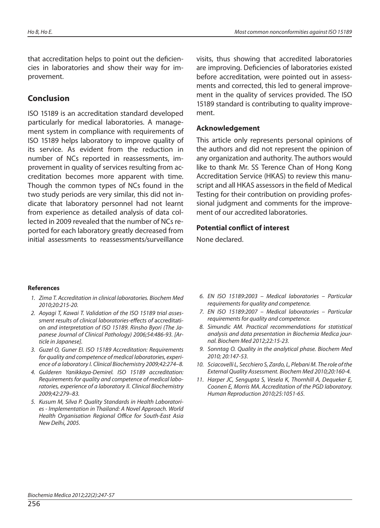that accreditation helps to point out the deficiencies in laboratories and show their way for improvement.

#### **Conclusion**

ISO 15189 is an accreditation standard developed particularly for medical laboratories. A management system in compliance with requirements of ISO 15189 helps laboratory to improve quality of its service. As evident from the reduction in number of NCs reported in reassessments, improvement in quality of services resulting from accreditation becomes more apparent with time. Though the common types of NCs found in the two study periods are very similar, this did not indicate that laboratory personnel had not learnt from experience as detailed analysis of data collected in 2009 revealed that the number of NCs reported for each laboratory greatly decreased from initial assessments to reassessments/surveillance visits, thus showing that accredited laboratories are improving. Deficiencies of laboratories existed before accreditation, were pointed out in assessments and corrected, this led to general improvement in the quality of services provided. The ISO 15189 standard is contributing to quality improvement.

#### **Acknowledgement**

This article only represents personal opinions of the authors and did not represent the opinion of any organization and authority. The authors would like to thank Mr. SS Terence Chan of Hong Kong Accreditation Service (HKAS) to review this manuscript and all HKAS assessors in the field of Medical Testing for their contribution on providing professional judgment and comments for the improvement of our accredited laboratories.

#### **Potential conflict of interest**

None declared.

#### **References**

- 1. Zima T. Accreditation in clinical laboratories. Biochem Med 2010;20:215-20.
- 2. Aoyagi T, Kawai T. Validation of the ISO 15189 trial assessment results of clinical laboratories-effects of accreditation and interpretation of ISO 15189. Rinsho Byori (The Japanese Journal of Clinical Pathology) 2006;54:486-93. [Article in Japanese].
- 3. Guzel O, Guner EI. ISO 15189 Accreditation: Requirements for quality and competence of medical laboratories, experience of a laboratory I. Clinical Biochemistry 2009;42:274–8.
- 4. Gulderen Yanikkaya-Demirel. ISO 15189 accreditation: Requirements for quality and competence of medical laboratories, experience of a laboratory II. Clinical Biochemistry 2009;42:279–83.
- 5. Kusum M, Silva P. Quality Standards in Health Laboratories - Implementation in Thailand: A Novel Approach. World Health Organisation Regional Office for South-East Asia New Delhi, 2005.
- 6. EN ISO 15189:2003 Medical laboratories Particular requirements for quality and competence.
- 7. EN ISO 15189:2007 Medical laboratories Particular requirements for quality and competence.
- 8. Simundic AM. Practical recommendations for statistical analysis and data presentation in Biochemia Medica journal. Biochem Med 2012;22:15-23.
- 9. Sonntag O. Quality in the analytical phase. Biochem Med 2010; 20:147-53.
- 10. Sciacovelli L, Secchiero S, Zardo, L, Plebani M. The role of the External Quality Assessment. Biochem Med 2010;20:160-4.
- 11. Harper JC, Sengupta S, Vesela K, Thornhill A, Dequeker E, Coonen E, Morris MA. Accreditation of the PGD laboratory. Human Reproduction 2010;25:1051-65.